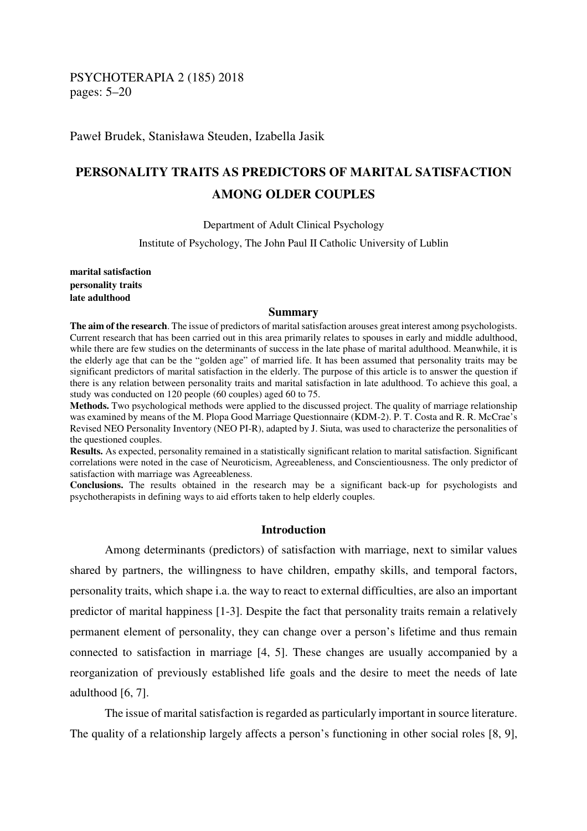## PSYCHOTERAPIA 2 (185) 2018 pages: 5–20

Paweł Brudek, Stanisława Steuden, Izabella Jasik

# **PERSONALITY TRAITS AS PREDICTORS OF MARITAL SATISFACTION AMONG OLDER COUPLES**

Department of Adult Clinical Psychology

Institute of Psychology, The John Paul II Catholic University of Lublin

**marital satisfaction personality traits late adulthood** 

#### **Summary**

**The aim of the research**. The issue of predictors of marital satisfaction arouses great interest among psychologists. Current research that has been carried out in this area primarily relates to spouses in early and middle adulthood, while there are few studies on the determinants of success in the late phase of marital adulthood. Meanwhile, it is the elderly age that can be the "golden age" of married life. It has been assumed that personality traits may be significant predictors of marital satisfaction in the elderly. The purpose of this article is to answer the question if there is any relation between personality traits and marital satisfaction in late adulthood. To achieve this goal, a study was conducted on 120 people (60 couples) aged 60 to 75.

**Methods.** Two psychological methods were applied to the discussed project. The quality of marriage relationship was examined by means of the M. Plopa Good Marriage Questionnaire (KDM-2). P. T. Costa and R. R. McCrae's Revised NEO Personality Inventory (NEO PI-R), adapted by J. Siuta, was used to characterize the personalities of the questioned couples.

**Results.** As expected, personality remained in a statistically significant relation to marital satisfaction. Significant correlations were noted in the case of Neuroticism, Agreeableness, and Conscientiousness. The only predictor of satisfaction with marriage was Agreeableness.

**Conclusions.** The results obtained in the research may be a significant back-up for psychologists and psychotherapists in defining ways to aid efforts taken to help elderly couples.

#### **Introduction**

Among determinants (predictors) of satisfaction with marriage, next to similar values shared by partners, the willingness to have children, empathy skills, and temporal factors, personality traits, which shape i.a. the way to react to external difficulties, are also an important predictor of marital happiness [1-3]. Despite the fact that personality traits remain a relatively permanent element of personality, they can change over a person's lifetime and thus remain connected to satisfaction in marriage [4, 5]. These changes are usually accompanied by a reorganization of previously established life goals and the desire to meet the needs of late adulthood [6, 7].

The issue of marital satisfaction is regarded as particularly important in source literature. The quality of a relationship largely affects a person's functioning in other social roles [8, 9],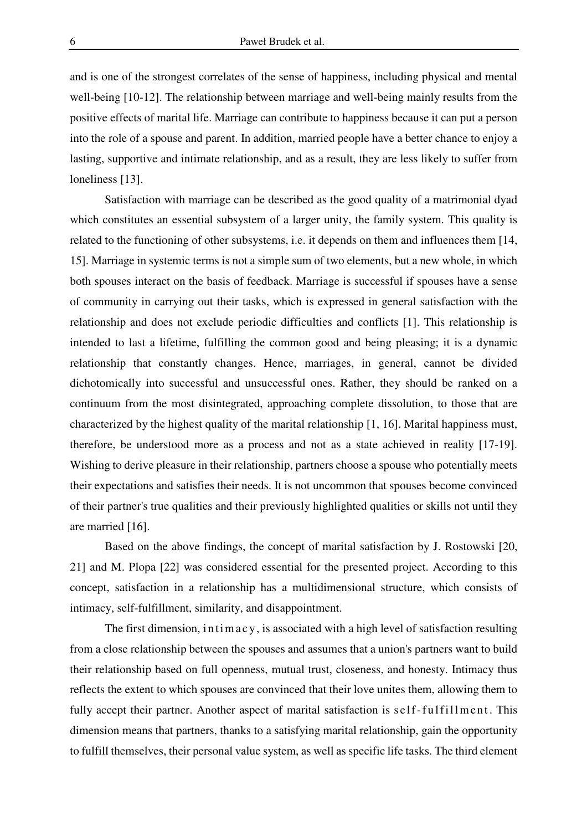and is one of the strongest correlates of the sense of happiness, including physical and mental well-being [10-12]. The relationship between marriage and well-being mainly results from the positive effects of marital life. Marriage can contribute to happiness because it can put a person into the role of a spouse and parent. In addition, married people have a better chance to enjoy a lasting, supportive and intimate relationship, and as a result, they are less likely to suffer from loneliness [13].

Satisfaction with marriage can be described as the good quality of a matrimonial dyad which constitutes an essential subsystem of a larger unity, the family system. This quality is related to the functioning of other subsystems, i.e. it depends on them and influences them [14, 15]. Marriage in systemic terms is not a simple sum of two elements, but a new whole, in which both spouses interact on the basis of feedback. Marriage is successful if spouses have a sense of community in carrying out their tasks, which is expressed in general satisfaction with the relationship and does not exclude periodic difficulties and conflicts [1]. This relationship is intended to last a lifetime, fulfilling the common good and being pleasing; it is a dynamic relationship that constantly changes. Hence, marriages, in general, cannot be divided dichotomically into successful and unsuccessful ones. Rather, they should be ranked on a continuum from the most disintegrated, approaching complete dissolution, to those that are characterized by the highest quality of the marital relationship [1, 16]. Marital happiness must, therefore, be understood more as a process and not as a state achieved in reality [17-19]. Wishing to derive pleasure in their relationship, partners choose a spouse who potentially meets their expectations and satisfies their needs. It is not uncommon that spouses become convinced of their partner's true qualities and their previously highlighted qualities or skills not until they are married [16].

Based on the above findings, the concept of marital satisfaction by J. Rostowski [20, 21] and M. Plopa [22] was considered essential for the presented project. According to this concept, satisfaction in a relationship has a multidimensional structure, which consists of intimacy, self-fulfillment, similarity, and disappointment.

The first dimension, in time ac y, is associated with a high level of satisfaction resulting from a close relationship between the spouses and assumes that a union's partners want to build their relationship based on full openness, mutual trust, closeness, and honesty. Intimacy thus reflects the extent to which spouses are convinced that their love unites them, allowing them to fully accept their partner. Another aspect of marital satisfaction is self-fulfillment. This dimension means that partners, thanks to a satisfying marital relationship, gain the opportunity to fulfill themselves, their personal value system, as well as specific life tasks. The third element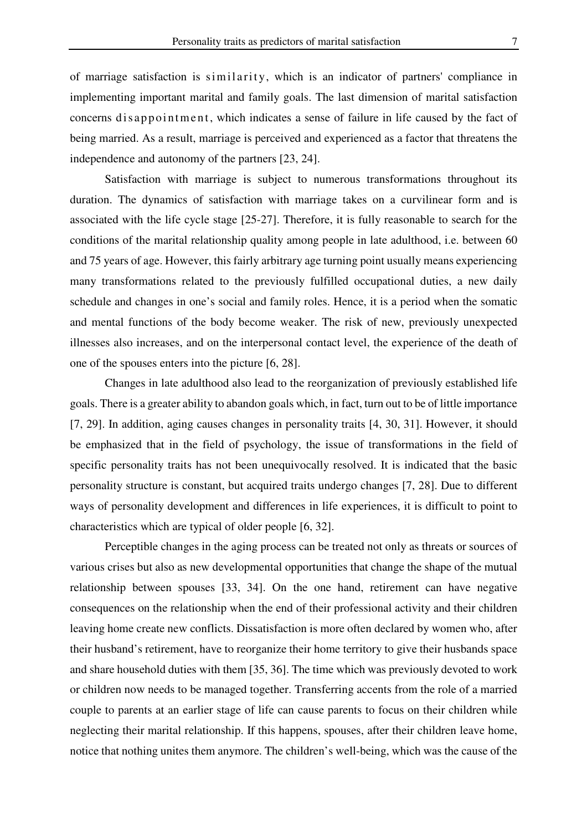of marriage satisfaction is similarity, which is an indicator of partners' compliance in implementing important marital and family goals. The last dimension of marital satisfaction concerns d is appointment, which indicates a sense of failure in life caused by the fact of being married. As a result, marriage is perceived and experienced as a factor that threatens the independence and autonomy of the partners [23, 24].

Satisfaction with marriage is subject to numerous transformations throughout its duration. The dynamics of satisfaction with marriage takes on a curvilinear form and is associated with the life cycle stage [25-27]. Therefore, it is fully reasonable to search for the conditions of the marital relationship quality among people in late adulthood, i.e. between 60 and 75 years of age. However, this fairly arbitrary age turning point usually means experiencing many transformations related to the previously fulfilled occupational duties, a new daily schedule and changes in one's social and family roles. Hence, it is a period when the somatic and mental functions of the body become weaker. The risk of new, previously unexpected illnesses also increases, and on the interpersonal contact level, the experience of the death of one of the spouses enters into the picture [6, 28].

Changes in late adulthood also lead to the reorganization of previously established life goals. There is a greater ability to abandon goals which, in fact, turn out to be of little importance [7, 29]. In addition, aging causes changes in personality traits [4, 30, 31]. However, it should be emphasized that in the field of psychology, the issue of transformations in the field of specific personality traits has not been unequivocally resolved. It is indicated that the basic personality structure is constant, but acquired traits undergo changes [7, 28]. Due to different ways of personality development and differences in life experiences, it is difficult to point to characteristics which are typical of older people [6, 32].

Perceptible changes in the aging process can be treated not only as threats or sources of various crises but also as new developmental opportunities that change the shape of the mutual relationship between spouses [33, 34]. On the one hand, retirement can have negative consequences on the relationship when the end of their professional activity and their children leaving home create new conflicts. Dissatisfaction is more often declared by women who, after their husband's retirement, have to reorganize their home territory to give their husbands space and share household duties with them [35, 36]. The time which was previously devoted to work or children now needs to be managed together. Transferring accents from the role of a married couple to parents at an earlier stage of life can cause parents to focus on their children while neglecting their marital relationship. If this happens, spouses, after their children leave home, notice that nothing unites them anymore. The children's well-being, which was the cause of the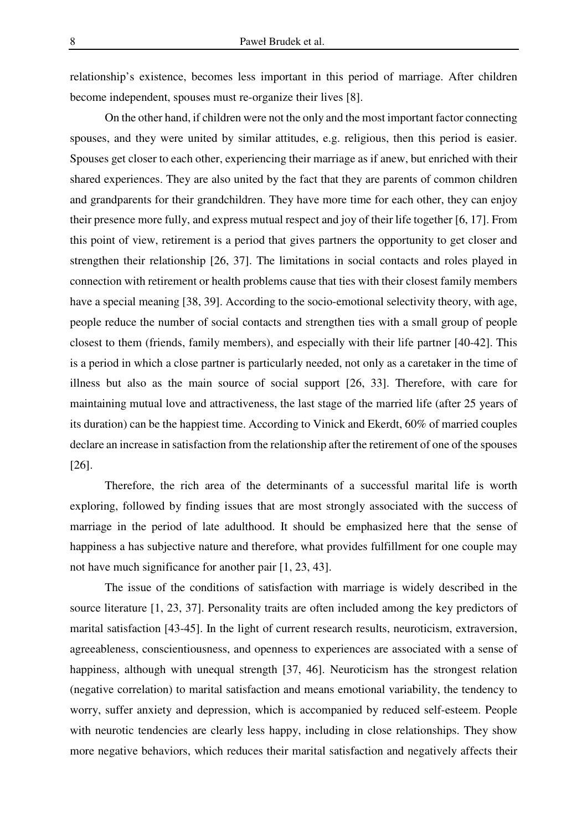relationship's existence, becomes less important in this period of marriage. After children become independent, spouses must re-organize their lives [8].

On the other hand, if children were not the only and the most important factor connecting spouses, and they were united by similar attitudes, e.g. religious, then this period is easier. Spouses get closer to each other, experiencing their marriage as if anew, but enriched with their shared experiences. They are also united by the fact that they are parents of common children and grandparents for their grandchildren. They have more time for each other, they can enjoy their presence more fully, and express mutual respect and joy of their life together [6, 17]. From this point of view, retirement is a period that gives partners the opportunity to get closer and strengthen their relationship [26, 37]. The limitations in social contacts and roles played in connection with retirement or health problems cause that ties with their closest family members have a special meaning [38, 39]. According to the socio-emotional selectivity theory, with age, people reduce the number of social contacts and strengthen ties with a small group of people closest to them (friends, family members), and especially with their life partner [40-42]. This is a period in which a close partner is particularly needed, not only as a caretaker in the time of illness but also as the main source of social support [26, 33]. Therefore, with care for maintaining mutual love and attractiveness, the last stage of the married life (after 25 years of its duration) can be the happiest time. According to Vinick and Ekerdt, 60% of married couples declare an increase in satisfaction from the relationship after the retirement of one of the spouses [26].

Therefore, the rich area of the determinants of a successful marital life is worth exploring, followed by finding issues that are most strongly associated with the success of marriage in the period of late adulthood. It should be emphasized here that the sense of happiness a has subjective nature and therefore, what provides fulfillment for one couple may not have much significance for another pair [1, 23, 43].

The issue of the conditions of satisfaction with marriage is widely described in the source literature [1, 23, 37]. Personality traits are often included among the key predictors of marital satisfaction [43-45]. In the light of current research results, neuroticism, extraversion, agreeableness, conscientiousness, and openness to experiences are associated with a sense of happiness, although with unequal strength [37, 46]. Neuroticism has the strongest relation (negative correlation) to marital satisfaction and means emotional variability, the tendency to worry, suffer anxiety and depression, which is accompanied by reduced self-esteem. People with neurotic tendencies are clearly less happy, including in close relationships. They show more negative behaviors, which reduces their marital satisfaction and negatively affects their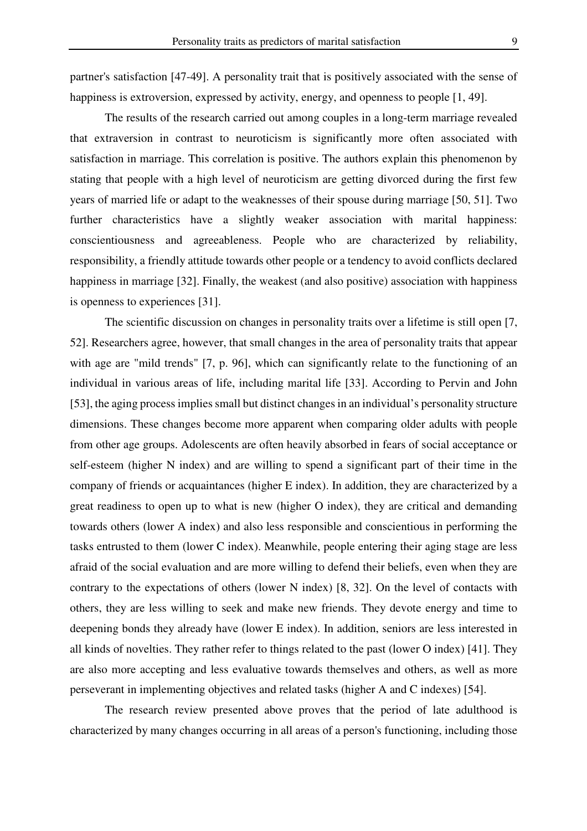partner's satisfaction [47-49]. A personality trait that is positively associated with the sense of happiness is extroversion, expressed by activity, energy, and openness to people [1, 49].

The results of the research carried out among couples in a long-term marriage revealed that extraversion in contrast to neuroticism is significantly more often associated with satisfaction in marriage. This correlation is positive. The authors explain this phenomenon by stating that people with a high level of neuroticism are getting divorced during the first few years of married life or adapt to the weaknesses of their spouse during marriage [50, 51]. Two further characteristics have a slightly weaker association with marital happiness: conscientiousness and agreeableness. People who are characterized by reliability, responsibility, a friendly attitude towards other people or a tendency to avoid conflicts declared happiness in marriage [32]. Finally, the weakest (and also positive) association with happiness is openness to experiences [31].

The scientific discussion on changes in personality traits over a lifetime is still open [7, 52]. Researchers agree, however, that small changes in the area of personality traits that appear with age are "mild trends" [7, p. 96], which can significantly relate to the functioning of an individual in various areas of life, including marital life [33]. According to Pervin and John [53], the aging process implies small but distinct changes in an individual's personality structure dimensions. These changes become more apparent when comparing older adults with people from other age groups. Adolescents are often heavily absorbed in fears of social acceptance or self-esteem (higher N index) and are willing to spend a significant part of their time in the company of friends or acquaintances (higher E index). In addition, they are characterized by a great readiness to open up to what is new (higher O index), they are critical and demanding towards others (lower A index) and also less responsible and conscientious in performing the tasks entrusted to them (lower C index). Meanwhile, people entering their aging stage are less afraid of the social evaluation and are more willing to defend their beliefs, even when they are contrary to the expectations of others (lower N index) [8, 32]. On the level of contacts with others, they are less willing to seek and make new friends. They devote energy and time to deepening bonds they already have (lower E index). In addition, seniors are less interested in all kinds of novelties. They rather refer to things related to the past (lower O index) [41]. They are also more accepting and less evaluative towards themselves and others, as well as more perseverant in implementing objectives and related tasks (higher A and C indexes) [54].

The research review presented above proves that the period of late adulthood is characterized by many changes occurring in all areas of a person's functioning, including those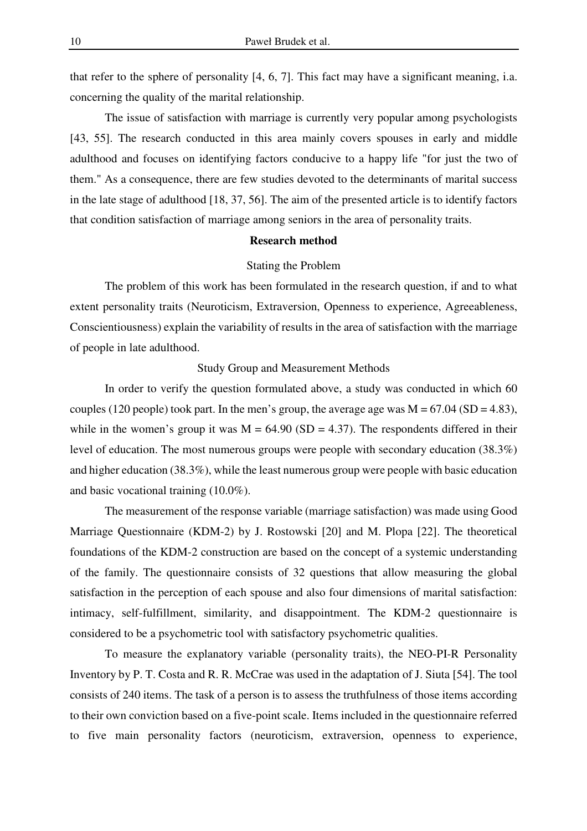that refer to the sphere of personality [4, 6, 7]. This fact may have a significant meaning, i.a. concerning the quality of the marital relationship.

The issue of satisfaction with marriage is currently very popular among psychologists [43, 55]. The research conducted in this area mainly covers spouses in early and middle adulthood and focuses on identifying factors conducive to a happy life "for just the two of them." As a consequence, there are few studies devoted to the determinants of marital success in the late stage of adulthood [18, 37, 56]. The aim of the presented article is to identify factors that condition satisfaction of marriage among seniors in the area of personality traits.

#### **Research method**

#### Stating the Problem

The problem of this work has been formulated in the research question, if and to what extent personality traits (Neuroticism, Extraversion, Openness to experience, Agreeableness, Conscientiousness) explain the variability of results in the area of satisfaction with the marriage of people in late adulthood.

#### Study Group and Measurement Methods

In order to verify the question formulated above, a study was conducted in which 60 couples (120 people) took part. In the men's group, the average age was  $M = 67.04$  (SD = 4.83), while in the women's group it was  $M = 64.90$  (SD = 4.37). The respondents differed in their level of education. The most numerous groups were people with secondary education (38.3%) and higher education (38.3%), while the least numerous group were people with basic education and basic vocational training (10.0%).

The measurement of the response variable (marriage satisfaction) was made using Good Marriage Questionnaire (KDM-2) by J. Rostowski [20] and M. Plopa [22]. The theoretical foundations of the KDM-2 construction are based on the concept of a systemic understanding of the family. The questionnaire consists of 32 questions that allow measuring the global satisfaction in the perception of each spouse and also four dimensions of marital satisfaction: intimacy, self-fulfillment, similarity, and disappointment. The KDM-2 questionnaire is considered to be a psychometric tool with satisfactory psychometric qualities.

To measure the explanatory variable (personality traits), the NEO-PI-R Personality Inventory by P. T. Costa and R. R. McCrae was used in the adaptation of J. Siuta [54]. The tool consists of 240 items. The task of a person is to assess the truthfulness of those items according to their own conviction based on a five-point scale. Items included in the questionnaire referred to five main personality factors (neuroticism, extraversion, openness to experience,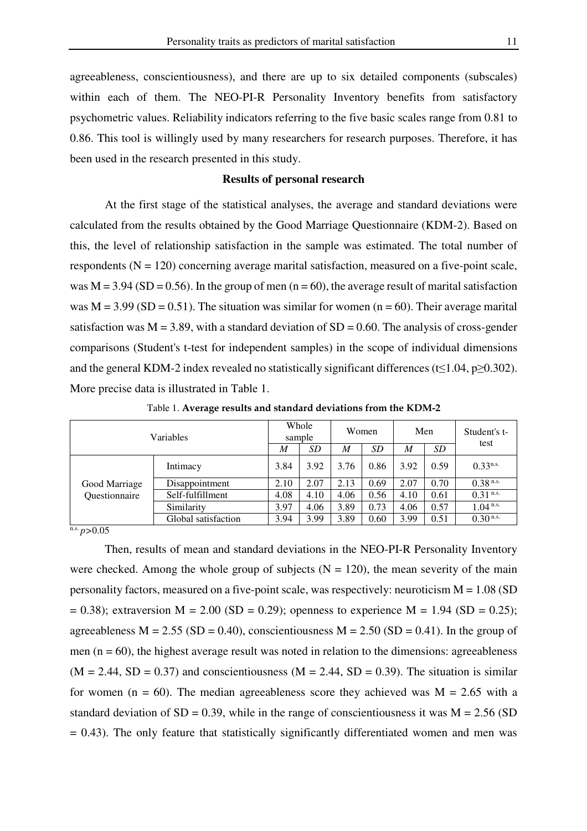agreeableness, conscientiousness), and there are up to six detailed components (subscales) within each of them. The NEO-PI-R Personality Inventory benefits from satisfactory psychometric values. Reliability indicators referring to the five basic scales range from 0.81 to 0.86. This tool is willingly used by many researchers for research purposes. Therefore, it has been used in the research presented in this study.

#### **Results of personal research**

At the first stage of the statistical analyses, the average and standard deviations were calculated from the results obtained by the Good Marriage Questionnaire (KDM-2). Based on this, the level of relationship satisfaction in the sample was estimated. The total number of respondents  $(N = 120)$  concerning average marital satisfaction, measured on a five-point scale, was  $M = 3.94$  (SD = 0.56). In the group of men (n = 60), the average result of marital satisfaction was  $M = 3.99$  (SD = 0.51). The situation was similar for women (n = 60). Their average marital satisfaction was  $M = 3.89$ , with a standard deviation of  $SD = 0.60$ . The analysis of cross-gender comparisons (Student's t-test for independent samples) in the scope of individual dimensions and the general KDM-2 index revealed no statistically significant differences (t $\leq$ 1.04, p $\geq$ 0.302). More precise data is illustrated in Table 1.

| Variables     |                     | Whole<br>sample |           | Women |           | Men              |           | Student's t-           |
|---------------|---------------------|-----------------|-----------|-------|-----------|------------------|-----------|------------------------|
|               |                     | M               | <i>SD</i> | M     | <b>SD</b> | $\boldsymbol{M}$ | <i>SD</i> | test                   |
|               | Intimacy            | 3.84            | 3.92      | 3.76  | 0.86      | 3.92             | 0.59      | $0.33^{n.s.}$          |
| Good Marriage | Disappointment      | 2.10            | 2.07      | 2.13  | 0.69      | 2.07             | 0.70      | $0.38$ <sup>n.s.</sup> |
| Questionnaire | Self-fulfillment    | 4.08            | 4.10      | 4.06  | 0.56      | 4.10             | 0.61      | $0.31$ n.s.            |
|               | Similarity          | 3.97            | 4.06      | 3.89  | 0.73      | 4.06             | 0.57      | $1.04$ n.s.            |
|               | Global satisfaction | 3.94            | 3.99      | 3.89  | 0.60      | 3.99             | 0.51      | $0.30$ <sup>n.s.</sup> |

Table 1. **Average results and standard deviations from the KDM-2** 

 $n.s. p>0.05$ 

Then, results of mean and standard deviations in the NEO-PI-R Personality Inventory were checked. Among the whole group of subjects  $(N = 120)$ , the mean severity of the main personality factors, measured on a five-point scale, was respectively: neuroticism M = 1.08 (SD  $= 0.38$ ); extraversion M = 2.00 (SD = 0.29); openness to experience M = 1.94 (SD = 0.25); agreeableness  $M = 2.55$  (SD = 0.40), conscientiousness  $M = 2.50$  (SD = 0.41). In the group of men ( $n = 60$ ), the highest average result was noted in relation to the dimensions: agreeableness  $(M = 2.44, SD = 0.37)$  and conscientiousness  $(M = 2.44, SD = 0.39)$ . The situation is similar for women (n = 60). The median agreeableness score they achieved was  $M = 2.65$  with a standard deviation of  $SD = 0.39$ , while in the range of conscientiousness it was  $M = 2.56$  (SD  $= 0.43$ ). The only feature that statistically significantly differentiated women and men was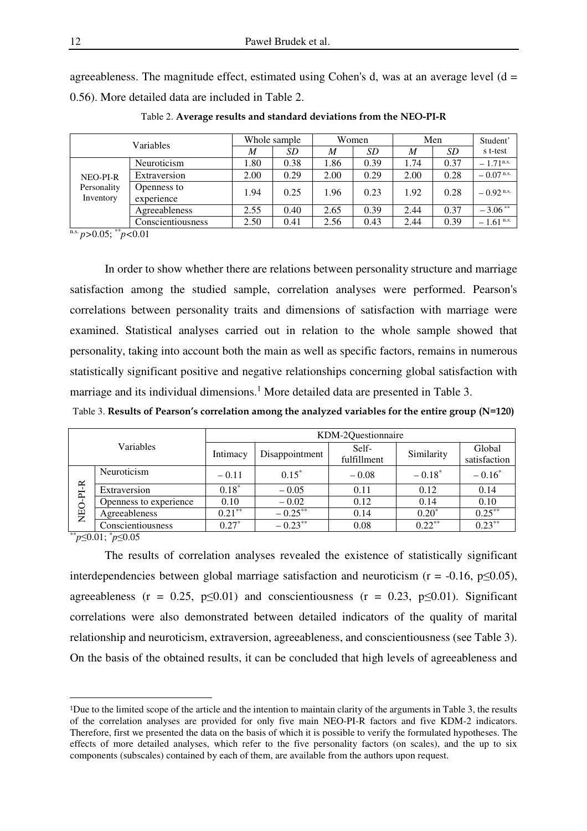agreeableness. The magnitude effect, estimated using Cohen's d, was at an average level  $(d =$ 0.56). More detailed data are included in Table 2.

| Variables                            |                           | Whole sample |      | Women |           | Men  |      | Student'                |
|--------------------------------------|---------------------------|--------------|------|-------|-----------|------|------|-------------------------|
|                                      |                           | M            | SD   | M     | <i>SD</i> | M    | SD   | s t-test                |
|                                      | Neuroticism               | 1.80         | 0.38 | 1.86  | 0.39      | 1.74 | 0.37 | $-1.71$ <sup>n.s.</sup> |
| NEO-PI-R<br>Personality<br>Inventory | Extraversion              | 2.00         | 0.29 | 2.00  | 0.29      | 2.00 | 0.28 | $-0.07$ <sup>n.s.</sup> |
|                                      | Openness to<br>experience | 1.94         | 0.25 | 1.96  | 0.23      | 1.92 | 0.28 | $-0.92$ <sup>n.s.</sup> |
|                                      | Agreeableness             | 2.55         | 0.40 | 2.65  | 0.39      | 2.44 | 0.37 | $-3.06$ <sup>**</sup>   |
|                                      | Conscientiousness         | 2.50         | 0.41 | 2.56  | 0.43      | 2.44 | 0.39 | $-1.61$ <sup>n.s.</sup> |

Table 2. **Average results and standard deviations from the NEO-PI-R**

 $\frac{n.s.}{p>0.05}$ ; \*\**p*<0.01

In order to show whether there are relations between personality structure and marriage satisfaction among the studied sample, correlation analyses were performed. Pearson's correlations between personality traits and dimensions of satisfaction with marriage were examined. Statistical analyses carried out in relation to the whole sample showed that personality, taking into account both the main as well as specific factors, remains in numerous statistically significant positive and negative relationships concerning global satisfaction with marriage and its individual dimensions.<sup>1</sup> More detailed data are presented in Table 3.

Table 3. **Results of Pearson's correlation among the analyzed variables for the entire group (N=120)** 

| Variables |                        | KDM-2Questionnaire |                |                      |            |                        |  |  |
|-----------|------------------------|--------------------|----------------|----------------------|------------|------------------------|--|--|
|           |                        | Intimacy           | Disappointment | Self-<br>fulfillment | Similarity | Global<br>satisfaction |  |  |
|           | Neuroticism            | $-0.11$            | $0.15^*$       | $-0.08$              | $-0.18^*$  | $-0.16*$               |  |  |
| PI-R      | Extraversion           | $0.18*$            | $-0.05$        | 0.11                 | 0.12       | 0.14                   |  |  |
|           | Openness to experience | 0.10               | $-0.02$        | 0.12                 | 0.14       | 0.10                   |  |  |
| NEO-      | Agreeableness          | $0.21***$          | $-0.25***$     | 0.14                 | $0.20*$    | $0.25***$              |  |  |
|           | Conscientiousness      | $0.27*$            | $-0.23***$     | 0.08                 | $0.22***$  | $0.23***$              |  |  |

\*\**p*≤0.01; \**p*≤0.05

l

The results of correlation analyses revealed the existence of statistically significant interdependencies between global marriage satisfaction and neuroticism ( $r = -0.16$ ,  $p \le 0.05$ ), agreeableness ( $r = 0.25$ ,  $p \le 0.01$ ) and conscientiousness ( $r = 0.23$ ,  $p \le 0.01$ ). Significant correlations were also demonstrated between detailed indicators of the quality of marital relationship and neuroticism, extraversion, agreeableness, and conscientiousness (see Table 3). On the basis of the obtained results, it can be concluded that high levels of agreeableness and

<sup>1</sup>Due to the limited scope of the article and the intention to maintain clarity of the arguments in Table 3, the results of the correlation analyses are provided for only five main NEO-PI-R factors and five KDM-2 indicators. Therefore, first we presented the data on the basis of which it is possible to verify the formulated hypotheses. The effects of more detailed analyses, which refer to the five personality factors (on scales), and the up to six components (subscales) contained by each of them, are available from the authors upon request.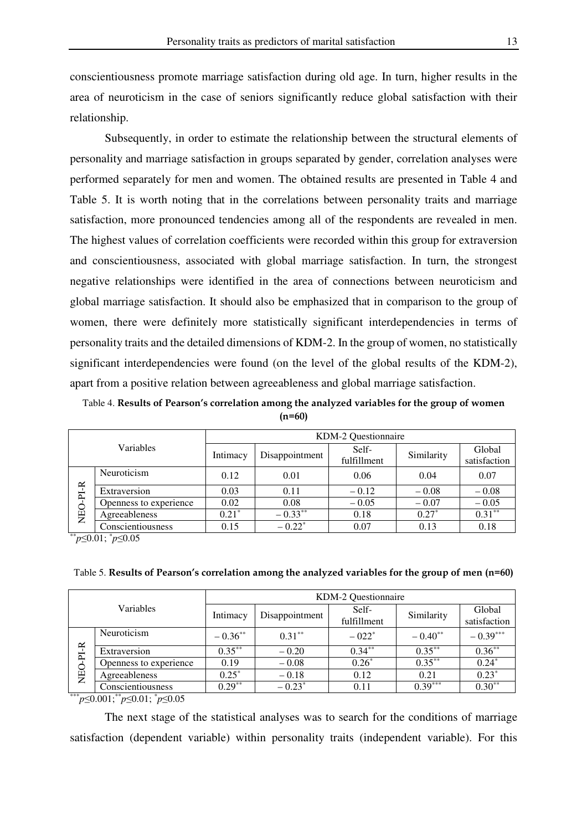conscientiousness promote marriage satisfaction during old age. In turn, higher results in the area of neuroticism in the case of seniors significantly reduce global satisfaction with their relationship.

Subsequently, in order to estimate the relationship between the structural elements of personality and marriage satisfaction in groups separated by gender, correlation analyses were performed separately for men and women. The obtained results are presented in Table 4 and Table 5. It is worth noting that in the correlations between personality traits and marriage satisfaction, more pronounced tendencies among all of the respondents are revealed in men. The highest values of correlation coefficients were recorded within this group for extraversion and conscientiousness, associated with global marriage satisfaction. In turn, the strongest negative relationships were identified in the area of connections between neuroticism and global marriage satisfaction. It should also be emphasized that in comparison to the group of women, there were definitely more statistically significant interdependencies in terms of personality traits and the detailed dimensions of KDM-2. In the group of women, no statistically significant interdependencies were found (on the level of the global results of the KDM-2), apart from a positive relation between agreeableness and global marriage satisfaction.

Table 4. **Results of Pearson's correlation among the analyzed variables for the group of women (n=60)** 

| Variables |                        | KDM-2 Questionnaire |                      |                      |            |                        |  |  |
|-----------|------------------------|---------------------|----------------------|----------------------|------------|------------------------|--|--|
|           |                        | Intimacy            | Disappointment       | Self-<br>fulfillment | Similarity | Global<br>satisfaction |  |  |
|           | Neuroticism            | 0.12                | 0.01                 | 0.06                 | 0.04       | 0.07                   |  |  |
| PI-R      | Extraversion           | 0.03                | 0.11                 | $-0.12$              | $-0.08$    | $-0.08$                |  |  |
|           | Openness to experience | 0.02                | 0.08                 | $-0.05$              | $-0.07$    | $-0.05$                |  |  |
| DC<br>NEO | Agreeableness          | $0.21*$             | $-0.33***$           | 0.18                 | $0.27*$    | $0.31***$              |  |  |
|           | Conscientiousness      | 0.15                | $-0.22$ <sup>*</sup> | 0.07                 | 0.13       | 0.18                   |  |  |

\*\**p*≤0.01; \**p*≤0.05

| Table 5. Results of Pearson's correlation among the analyzed variables for the group of men (n=60) |
|----------------------------------------------------------------------------------------------------|
|----------------------------------------------------------------------------------------------------|

| Variables |                        | KDM-2 Questionnaire |                |                     |              |              |  |  |
|-----------|------------------------|---------------------|----------------|---------------------|--------------|--------------|--|--|
|           |                        | Intimacy            | Disappointment | Self-               | Similarity   | Global       |  |  |
|           |                        |                     |                | fulfillment         |              | satisfaction |  |  |
|           | Neuroticism            | $-0.36***$          | $0.31***$      | $-022$ <sup>*</sup> | $-0.40^{**}$ | $-0.39***$   |  |  |
| NEO-PI-R  | Extraversion           | $0.35***$           | $-0.20$        | $0.34***$           | $0.35***$    | $0.36***$    |  |  |
|           | Openness to experience | 0.19                | $-0.08$        | $0.26*$             | $0.35***$    | $0.24*$      |  |  |
|           | Agreeableness          | $0.25^*$            | $-0.18$        | 0.12                | 0.21         | $0.23*$      |  |  |
|           | Conscientiousness      | $0.29***$           | $-0.23^*$      | 0.11                | $0.39***$    | $0.30**$     |  |  |

\*\*\**p*≤0.001;\*\**p*≤0.01; \**p*≤0.05

The next stage of the statistical analyses was to search for the conditions of marriage satisfaction (dependent variable) within personality traits (independent variable). For this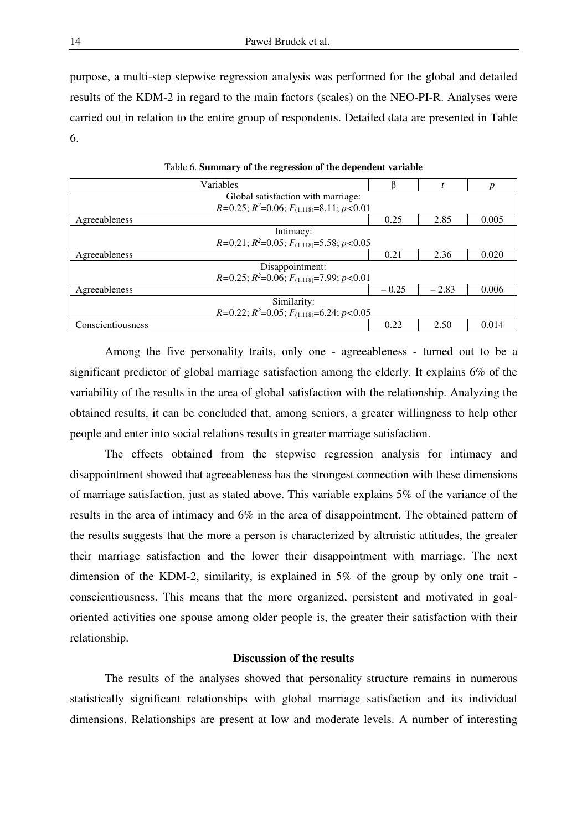purpose, a multi-step stepwise regression analysis was performed for the global and detailed results of the KDM-2 in regard to the main factors (scales) on the NEO-PI-R. Analyses were carried out in relation to the entire group of respondents. Detailed data are presented in Table 6.

| Variables         |                                                       |         |       |
|-------------------|-------------------------------------------------------|---------|-------|
|                   | Global satisfaction with marriage:                    |         |       |
|                   | $R=0.25$ ; $R^2=0.06$ ; $F_{(1.118)}=8.11$ ; $p<0.01$ |         |       |
| Agreeableness     | 0.25                                                  | 2.85    | 0.005 |
|                   | Intimacy:                                             |         |       |
|                   | $R=0.21$ ; $R^2=0.05$ ; $F_{(1.118)}=5.58$ ; $p<0.05$ |         |       |
| Agreeableness     | 0.21                                                  | 2.36    | 0.020 |
|                   | Disappointment:                                       |         |       |
|                   | $R=0.25$ ; $R^2=0.06$ ; $F_{(1.118)}=7.99$ ; $p<0.01$ |         |       |
| Agreeableness     | $-0.25$                                               | $-2.83$ | 0.006 |
|                   | Similarity:                                           |         |       |
|                   | $R=0.22$ ; $R^2=0.05$ ; $F_{(1.118)}=6.24$ ; $p<0.05$ |         |       |
| Conscientiousness | 0.22                                                  | 2.50    | 0.014 |

Table 6. **Summary of the regression of the dependent variable** 

Among the five personality traits, only one - agreeableness - turned out to be a significant predictor of global marriage satisfaction among the elderly. It explains 6% of the variability of the results in the area of global satisfaction with the relationship. Analyzing the obtained results, it can be concluded that, among seniors, a greater willingness to help other people and enter into social relations results in greater marriage satisfaction.

The effects obtained from the stepwise regression analysis for intimacy and disappointment showed that agreeableness has the strongest connection with these dimensions of marriage satisfaction, just as stated above. This variable explains 5% of the variance of the results in the area of intimacy and 6% in the area of disappointment. The obtained pattern of the results suggests that the more a person is characterized by altruistic attitudes, the greater their marriage satisfaction and the lower their disappointment with marriage. The next dimension of the KDM-2, similarity, is explained in 5% of the group by only one trait conscientiousness. This means that the more organized, persistent and motivated in goaloriented activities one spouse among older people is, the greater their satisfaction with their relationship.

### **Discussion of the results**

The results of the analyses showed that personality structure remains in numerous statistically significant relationships with global marriage satisfaction and its individual dimensions. Relationships are present at low and moderate levels. A number of interesting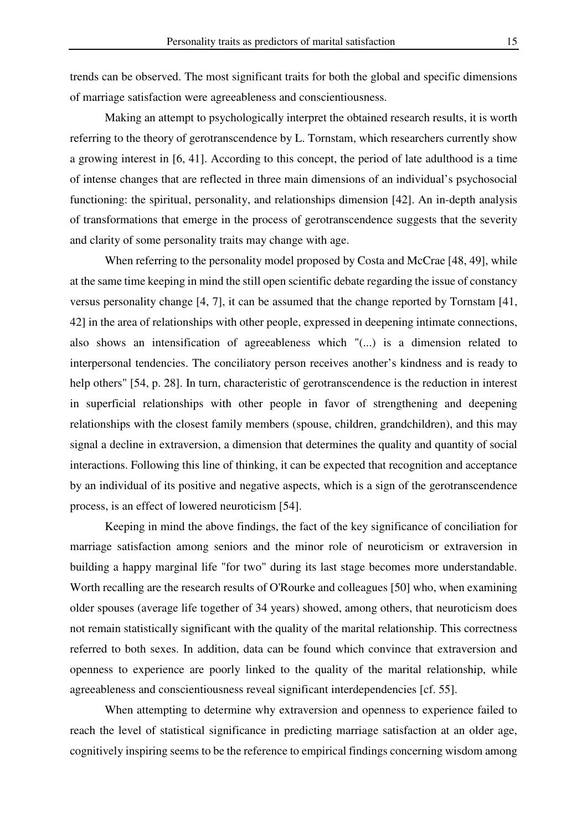trends can be observed. The most significant traits for both the global and specific dimensions of marriage satisfaction were agreeableness and conscientiousness.

Making an attempt to psychologically interpret the obtained research results, it is worth referring to the theory of gerotranscendence by L. Tornstam, which researchers currently show a growing interest in [6, 41]. According to this concept, the period of late adulthood is a time of intense changes that are reflected in three main dimensions of an individual's psychosocial functioning: the spiritual, personality, and relationships dimension [42]. An in-depth analysis of transformations that emerge in the process of gerotranscendence suggests that the severity and clarity of some personality traits may change with age.

When referring to the personality model proposed by Costa and McCrae [48, 49], while at the same time keeping in mind the still open scientific debate regarding the issue of constancy versus personality change [4, 7], it can be assumed that the change reported by Tornstam [41, 42] in the area of relationships with other people, expressed in deepening intimate connections, also shows an intensification of agreeableness which "(...) is a dimension related to interpersonal tendencies. The conciliatory person receives another's kindness and is ready to help others" [54, p. 28]. In turn, characteristic of gerotranscendence is the reduction in interest in superficial relationships with other people in favor of strengthening and deepening relationships with the closest family members (spouse, children, grandchildren), and this may signal a decline in extraversion, a dimension that determines the quality and quantity of social interactions. Following this line of thinking, it can be expected that recognition and acceptance by an individual of its positive and negative aspects, which is a sign of the gerotranscendence process, is an effect of lowered neuroticism [54].

Keeping in mind the above findings, the fact of the key significance of conciliation for marriage satisfaction among seniors and the minor role of neuroticism or extraversion in building a happy marginal life "for two" during its last stage becomes more understandable. Worth recalling are the research results of O'Rourke and colleagues [50] who, when examining older spouses (average life together of 34 years) showed, among others, that neuroticism does not remain statistically significant with the quality of the marital relationship. This correctness referred to both sexes. In addition, data can be found which convince that extraversion and openness to experience are poorly linked to the quality of the marital relationship, while agreeableness and conscientiousness reveal significant interdependencies [cf. 55].

When attempting to determine why extraversion and openness to experience failed to reach the level of statistical significance in predicting marriage satisfaction at an older age, cognitively inspiring seems to be the reference to empirical findings concerning wisdom among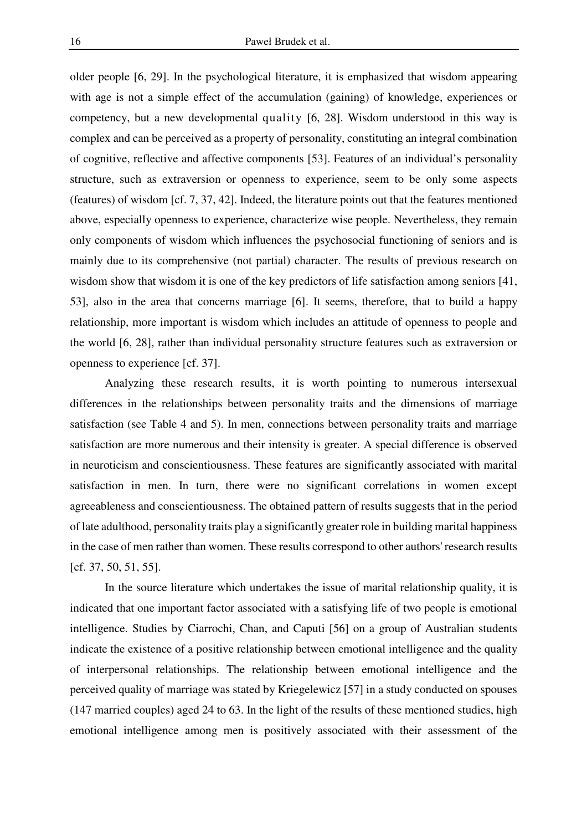older people [6, 29]. In the psychological literature, it is emphasized that wisdom appearing with age is not a simple effect of the accumulation (gaining) of knowledge, experiences or competency, but a new developmental quality [6, 28]. Wisdom understood in this way is complex and can be perceived as a property of personality, constituting an integral combination of cognitive, reflective and affective components [53]. Features of an individual's personality structure, such as extraversion or openness to experience, seem to be only some aspects (features) of wisdom [cf. 7, 37, 42]. Indeed, the literature points out that the features mentioned above, especially openness to experience, characterize wise people. Nevertheless, they remain only components of wisdom which influences the psychosocial functioning of seniors and is mainly due to its comprehensive (not partial) character. The results of previous research on wisdom show that wisdom it is one of the key predictors of life satisfaction among seniors [41, 53], also in the area that concerns marriage [6]. It seems, therefore, that to build a happy relationship, more important is wisdom which includes an attitude of openness to people and the world [6, 28], rather than individual personality structure features such as extraversion or openness to experience [cf. 37].

Analyzing these research results, it is worth pointing to numerous intersexual differences in the relationships between personality traits and the dimensions of marriage satisfaction (see Table 4 and 5). In men, connections between personality traits and marriage satisfaction are more numerous and their intensity is greater. A special difference is observed in neuroticism and conscientiousness. These features are significantly associated with marital satisfaction in men. In turn, there were no significant correlations in women except agreeableness and conscientiousness. The obtained pattern of results suggests that in the period of late adulthood, personality traits play a significantly greater role in building marital happiness in the case of men rather than women. These results correspond to other authors' research results [cf. 37, 50, 51, 55].

In the source literature which undertakes the issue of marital relationship quality, it is indicated that one important factor associated with a satisfying life of two people is emotional intelligence. Studies by Ciarrochi, Chan, and Caputi [56] on a group of Australian students indicate the existence of a positive relationship between emotional intelligence and the quality of interpersonal relationships. The relationship between emotional intelligence and the perceived quality of marriage was stated by Kriegelewicz [57] in a study conducted on spouses (147 married couples) aged 24 to 63. In the light of the results of these mentioned studies, high emotional intelligence among men is positively associated with their assessment of the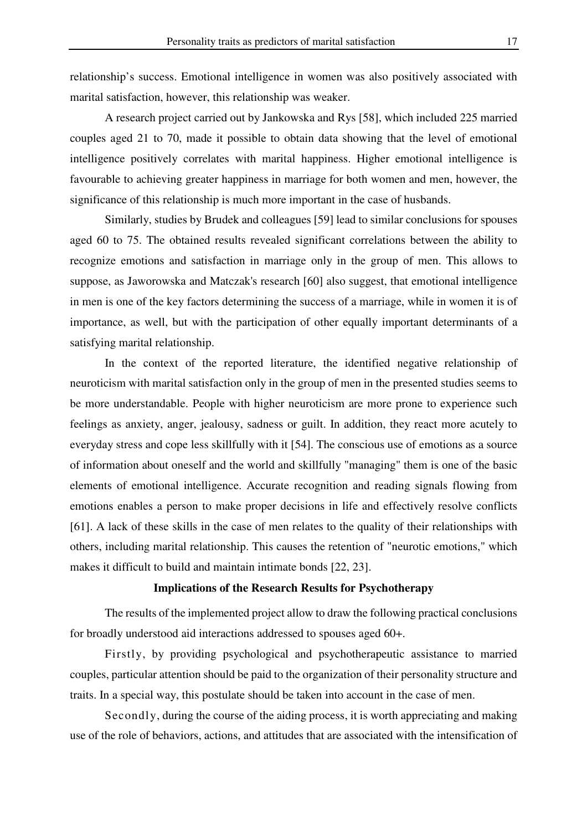relationship's success. Emotional intelligence in women was also positively associated with marital satisfaction, however, this relationship was weaker.

A research project carried out by Jankowska and Rys [58], which included 225 married couples aged 21 to 70, made it possible to obtain data showing that the level of emotional intelligence positively correlates with marital happiness. Higher emotional intelligence is favourable to achieving greater happiness in marriage for both women and men, however, the significance of this relationship is much more important in the case of husbands.

Similarly, studies by Brudek and colleagues [59] lead to similar conclusions for spouses aged 60 to 75. The obtained results revealed significant correlations between the ability to recognize emotions and satisfaction in marriage only in the group of men. This allows to suppose, as Jaworowska and Matczak's research [60] also suggest, that emotional intelligence in men is one of the key factors determining the success of a marriage, while in women it is of importance, as well, but with the participation of other equally important determinants of a satisfying marital relationship.

In the context of the reported literature, the identified negative relationship of neuroticism with marital satisfaction only in the group of men in the presented studies seems to be more understandable. People with higher neuroticism are more prone to experience such feelings as anxiety, anger, jealousy, sadness or guilt. In addition, they react more acutely to everyday stress and cope less skillfully with it [54]. The conscious use of emotions as a source of information about oneself and the world and skillfully "managing" them is one of the basic elements of emotional intelligence. Accurate recognition and reading signals flowing from emotions enables a person to make proper decisions in life and effectively resolve conflicts [61]. A lack of these skills in the case of men relates to the quality of their relationships with others, including marital relationship. This causes the retention of "neurotic emotions," which makes it difficult to build and maintain intimate bonds [22, 23].

## **Implications of the Research Results for Psychotherapy**

The results of the implemented project allow to draw the following practical conclusions for broadly understood aid interactions addressed to spouses aged 60+.

Firstly, by providing psychological and psychotherapeutic assistance to married couples, particular attention should be paid to the organization of their personality structure and traits. In a special way, this postulate should be taken into account in the case of men.

Secondly, during the course of the aiding process, it is worth appreciating and making use of the role of behaviors, actions, and attitudes that are associated with the intensification of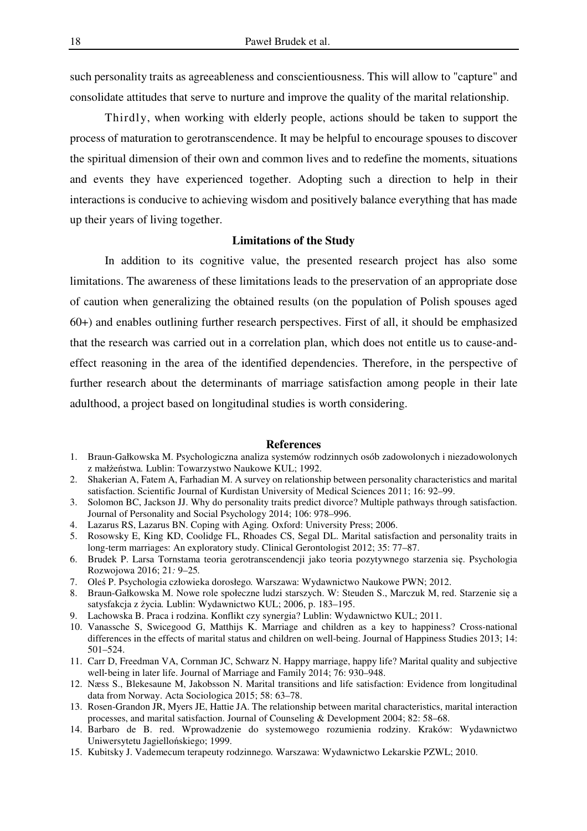such personality traits as agreeableness and conscientiousness. This will allow to "capture" and consolidate attitudes that serve to nurture and improve the quality of the marital relationship.

Thirdly, when working with elderly people, actions should be taken to support the process of maturation to gerotranscendence. It may be helpful to encourage spouses to discover the spiritual dimension of their own and common lives and to redefine the moments, situations and events they have experienced together. Adopting such a direction to help in their interactions is conducive to achieving wisdom and positively balance everything that has made up their years of living together.

#### **Limitations of the Study**

In addition to its cognitive value, the presented research project has also some limitations. The awareness of these limitations leads to the preservation of an appropriate dose of caution when generalizing the obtained results (on the population of Polish spouses aged 60+) and enables outlining further research perspectives. First of all, it should be emphasized that the research was carried out in a correlation plan, which does not entitle us to cause-andeffect reasoning in the area of the identified dependencies. Therefore, in the perspective of further research about the determinants of marriage satisfaction among people in their late adulthood, a project based on longitudinal studies is worth considering.

#### **References**

- 1. Braun-Gałkowska M. Psychologiczna analiza systemów rodzinnych osób zadowolonych i niezadowolonych z małżeństwa*.* Lublin: Towarzystwo Naukowe KUL; 1992.
- 2. Shakerian A, Fatem A, Farhadian M. A survey on relationship between personality characteristics and marital satisfaction. Scientific Journal of Kurdistan University of Medical Sciences 2011; 16: 92–99.
- 3. Solomon BC, Jackson JJ. Why do personality traits predict divorce? Multiple pathways through satisfaction. Journal of Personality and Social Psychology 2014; 106: 978–996.
- 4. Lazarus RS, Lazarus BN. Coping with Aging*.* Oxford: University Press; 2006.
- 5. Rosowsky E, King KD, Coolidge FL, Rhoades CS, Segal DL. Marital satisfaction and personality traits in long-term marriages: An exploratory study. Clinical Gerontologist 2012; 35: 77–87.
- 6. Brudek P. Larsa Tornstama teoria gerotranscendencji jako teoria pozytywnego starzenia się. Psychologia Rozwojowa 2016; 21*:* 9–25*.*
- 7. Oleś P. Psychologia człowieka dorosłego*.* Warszawa: Wydawnictwo Naukowe PWN; 2012.
- 8. Braun-Gałkowska M. Nowe role społeczne ludzi starszych. W: Steuden S., Marczuk M, red. Starzenie się a satysfakcja z życia*.* Lublin: Wydawnictwo KUL; 2006, p. 183–195.
- 9. Lachowska B. Praca i rodzina. Konflikt czy synergia? Lublin: Wydawnictwo KUL; 2011.
- 10. Vanassche S, Swicegood G, Matthijs K. Marriage and children as a key to happiness? Cross-national differences in the effects of marital status and children on well-being. Journal of Happiness Studies 2013; 14: 501–524.
- 11. Carr D, Freedman VA, Cornman JC, Schwarz N. Happy marriage, happy life? Marital quality and subjective well-being in later life. Journal of Marriage and Family 2014; 76: 930–948.
- 12. Næss S., Blekesaune M, Jakobsson N. Marital transitions and life satisfaction: Evidence from longitudinal data from Norway. Acta Sociologica 2015; 58: 63–78.
- 13. Rosen-Grandon JR, Myers JE, Hattie JA. The relationship between marital characteristics, marital interaction processes, and marital satisfaction. Journal of Counseling & Development 2004; 82: 58–68.
- 14. Barbaro de B. red. Wprowadzenie do systemowego rozumienia rodziny. Kraków: Wydawnictwo Uniwersytetu Jagiellońskiego; 1999.
- 15. Kubitsky J. Vademecum terapeuty rodzinnego*.* Warszawa: Wydawnictwo Lekarskie PZWL; 2010.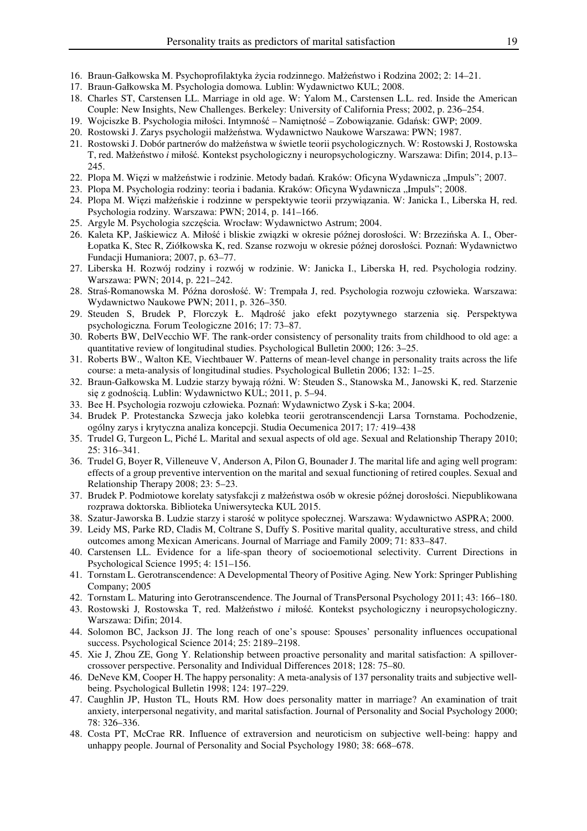- 16. Braun-Gałkowska M. Psychoprofilaktyka życia rodzinnego. Małżeństwo i Rodzina 2002; 2: 14–21.
- 17. Braun-Gałkowska M. Psychologia domowa*.* Lublin: Wydawnictwo KUL; 2008.
- 18. Charles ST, Carstensen LL. Marriage in old age. W: Yalom M., Carstensen L.L. red. Inside the American Couple: New Insights, New Challenges. Berkeley: University of California Press; 2002, p. 236–254.
- 19. Wojciszke B. Psychologia miłości. Intymność Namiętność Zobowiązanie*.* Gdańsk: GWP; 2009.
- 20. Rostowski J. Zarys psychologii małżeństwa*.* Wydawnictwo Naukowe Warszawa: PWN; 1987.
- 21. Rostowski J. Dobór partnerów do małżeństwa w świetle teorii psychologicznych. W: Rostowski J*,* Rostowska T, red. Małżeństwo *i* miłość*.* Kontekst psychologiczny i neuropsychologiczny. Warszawa: Difin; 2014, p.13– 245.
- 22. Plopa M. Więzi w małżeństwie i rodzinie. Metody badań*.* Kraków: Oficyna Wydawnicza "Impuls"; 2007.
- 23. Plopa M. Psychologia rodziny: teoria i badania. Kraków: Oficyna Wydawnicza "Impuls"; 2008.
- 24. Plopa M. Więzi małżeńskie i rodzinne w perspektywie teorii przywiązania. W: Janicka I., Liberska H, red. Psychologia rodziny*.* Warszawa: PWN; 2014, p. 141–166.
- 25. Argyle M. Psychologia szczęścia*.* Wrocław: Wydawnictwo Astrum; 2004.
- 26. Kaleta KP, Jaśkiewicz A. Miłość i bliskie związki w okresie późnej dorosłości. W: Brzezińska A. I., Ober-Łopatka K, Stec R, Ziółkowska K, red. Szanse rozwoju w okresie późnej dorosłości*.* Poznań: Wydawnictwo Fundacji Humaniora; 2007, p. 63–77.
- 27. Liberska H. Rozwój rodziny i rozwój w rodzinie. W: Janicka I., Liberska H, red. Psychologia rodziny*.*  Warszawa: PWN; 2014, p. 221–242.
- 28. Straś-Romanowska M. Późna dorosłość. W: Trempała J, red. Psychologia rozwoju człowieka. Warszawa: Wydawnictwo Naukowe PWN; 2011, p. 326–350.
- 29. Steuden S, Brudek P, Florczyk Ł. Mądrość jako efekt pozytywnego starzenia się. Perspektywa psychologiczna*.* Forum Teologiczne 2016; 17: 73–87.
- 30. Roberts BW, DelVecchio WF. The rank-order consistency of personality traits from childhood to old age: a quantitative review of longitudinal studies. Psychological Bulletin 2000; 126: 3–25.
- 31. Roberts BW., Walton KE, Viechtbauer W. Patterns of mean-level change in personality traits across the life course: a meta-analysis of longitudinal studies. Psychological Bulletin 2006; 132: 1–25.
- 32. Braun-Gałkowska M. Ludzie starzy bywają różni. W: Steuden S., Stanowska M., Janowski K, red. Starzenie się z godnością. Lublin: Wydawnictwo KUL; 2011, p. 5–94.
- 33. Bee H. Psychologia rozwoju człowieka. Poznań: Wydawnictwo Zysk i S-ka; 2004.
- 34. Brudek P. Protestancka Szwecja jako kolebka teorii gerotranscendencji Larsa Tornstama. Pochodzenie, ogólny zarys i krytyczna analiza koncepcji. Studia Oecumenica 2017; 17*:* 419–438
- 35. Trudel G, Turgeon L, Piché L. Marital and sexual aspects of old age. Sexual and Relationship Therapy 2010; 25: 316–341.
- 36. Trudel G, Boyer R, Villeneuve V, Anderson A, Pilon G, Bounader J. The marital life and aging well program: effects of a group preventive intervention on the marital and sexual functioning of retired couples. Sexual and Relationship Therapy 2008; 23: 5–23.
- 37. Brudek P. Podmiotowe korelaty satysfakcji z małżeństwa osób w okresie późnej dorosłości. Niepublikowana rozprawa doktorska. Biblioteka Uniwersytecka KUL 2015.
- 38. Szatur-Jaworska B. Ludzie starzy i starość w polityce społecznej. Warszawa: Wydawnictwo ASPRA; 2000.
- 39. Leidy MS, Parke RD, Cladis M, Coltrane S, Duffy S. Positive marital quality, acculturative stress, and child outcomes among Mexican Americans. Journal of Marriage and Family 2009; 71: 833–847.
- 40. Carstensen LL. Evidence for a life-span theory of socioemotional selectivity. Current Directions in Psychological Science 1995; 4: 151–156.
- 41. Tornstam L. Gerotranscendence: A Developmental Theory of Positive Aging*.* New York: Springer Publishing Company; 2005
- 42. Tornstam L. Maturing into Gerotranscendence. The Journal of TransPersonal Psychology 2011; 43: 166–180.
- 43. Rostowski J*,* Rostowska T, red. Małżeństwo *i* miłość*.* Kontekst psychologiczny i neuropsychologiczny. Warszawa: Difin; 2014.
- 44. Solomon BC, Jackson JJ. The long reach of one's spouse: Spouses' personality influences occupational success. Psychological Science 2014; 25: 2189–2198.
- 45. Xie J, Zhou ZE, Gong Y. Relationship between proactive personality and marital satisfaction: A spillovercrossover perspective. Personality and Individual Differences 2018; 128: 75–80.
- 46. DeNeve KM, Cooper H. The happy personality: A meta-analysis of 137 personality traits and subjective wellbeing. Psychological Bulletin 1998; 124: 197–229.
- 47. Caughlin JP, Huston TL, Houts RM. How does personality matter in marriage? An examination of trait anxiety, interpersonal negativity, and marital satisfaction. Journal of Personality and Social Psychology 2000; 78: 326–336.
- 48. Costa PT, McCrae RR. Influence of extraversion and neuroticism on subjective well-being: happy and unhappy people. Journal of Personality and Social Psychology 1980; 38: 668–678.